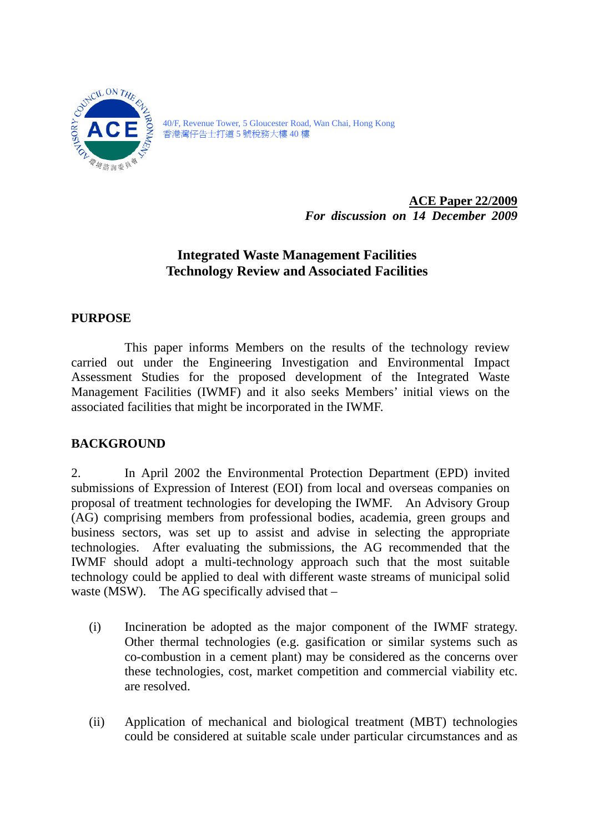

 香港灣仔告士打道 5 號稅務大樓 40 樓 40/F, Revenue Tower, 5 Gloucester Road, Wan Chai, Hong Kong

> **ACE Paper 22/2009**  *For discussion on 14 December 2009*

# **Integrated Waste Management Facilities Technology Review and Associated Facilities**

## **PURPOSE**

This paper informs Members on the results of the technology review carried out under the Engineering Investigation and Environmental Impact Assessment Studies for the proposed development of the Integrated Waste Management Facilities (IWMF) and it also seeks Members' initial views on the associated facilities that might be incorporated in the IWMF.

### **BACKGROUND**

2. In April 2002 the Environmental Protection Department (EPD) invited submissions of Expression of Interest (EOI) from local and overseas companies on proposal of treatment technologies for developing the IWMF. An Advisory Group (AG) comprising members from professional bodies, academia, green groups and business sectors, was set up to assist and advise in selecting the appropriate technologies. After evaluating the submissions, the AG recommended that the IWMF should adopt a multi-technology approach such that the most suitable technology could be applied to deal with different waste streams of municipal solid waste (MSW). The AG specifically advised that –

- $(i)$ Incineration be adopted as the major component of the IWMF strategy. Other thermal technologies (e.g. gasification or similar systems such as co-combustion in a cement plant) may be considered as the concerns over these technologies, cost, market competition and commercial viability etc. are resolved.
- $(ii)$ Application of mechanical and biological treatment (MBT) technologies could be considered at suitable scale under particular circumstances and as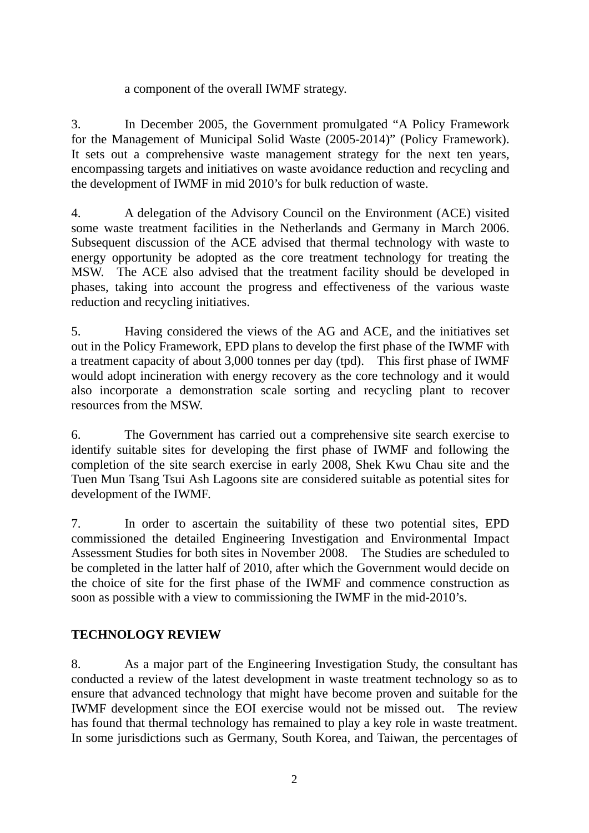#### a component of the overall IWMF strategy.

3. In December 2005, the Government promulgated "A Policy Framework for the Management of Municipal Solid Waste (2005-2014)" (Policy Framework). It sets out a comprehensive waste management strategy for the next ten years, encompassing targets and initiatives on waste avoidance reduction and recycling and the development of IWMF in mid 2010's for bulk reduction of waste.

 MSW. The ACE also advised that the treatment facility should be developed in 4. A delegation of the Advisory Council on the Environment (ACE) visited some waste treatment facilities in the Netherlands and Germany in March 2006. Subsequent discussion of the ACE advised that thermal technology with waste to energy opportunity be adopted as the core treatment technology for treating the phases, taking into account the progress and effectiveness of the various waste reduction and recycling initiatives.

 a treatment capacity of about 3,000 tonnes per day (tpd). This first phase of IWMF resources from the MSW. 5. Having considered the views of the AG and ACE, and the initiatives set out in the Policy Framework, EPD plans to develop the first phase of the IWMF with would adopt incineration with energy recovery as the core technology and it would also incorporate a demonstration scale sorting and recycling plant to recover

6. The Government has carried out a comprehensive site search exercise to identify suitable sites for developing the first phase of IWMF and following the completion of the site search exercise in early 2008, Shek Kwu Chau site and the Tuen Mun Tsang Tsui Ash Lagoons site are considered suitable as potential sites for development of the IWMF.

7. In order to ascertain the suitability of these two potential sites, EPD commissioned the detailed Engineering Investigation and Environmental Impact Assessment Studies for both sites in November 2008. The Studies are scheduled to be completed in the latter half of 2010, after which the Government would decide on the choice of site for the first phase of the IWMF and commence construction as soon as possible with a view to commissioning the IWMF in the mid-2010's.

### **TECHNOLOGY REVIEW**

8. As a major part of the Engineering Investigation Study, the consultant has conducted a review of the latest development in waste treatment technology so as to ensure that advanced technology that might have become proven and suitable for the IWMF development since the EOI exercise would not be missed out. The review has found that thermal technology has remained to play a key role in waste treatment. In some jurisdictions such as Germany, South Korea, and Taiwan, the percentages of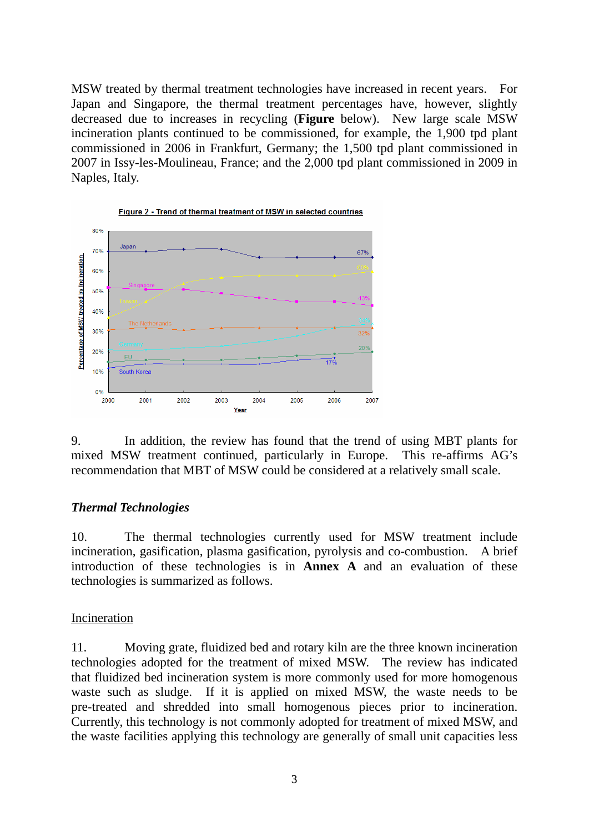Naples, Italy. MSW treated by thermal treatment technologies have increased in recent years. For Japan and Singapore, the thermal treatment percentages have, however, slightly decreased due to increases in recycling (**Figure** below). New large scale MSW incineration plants continued to be commissioned, for example, the 1,900 tpd plant commissioned in 2006 in Frankfurt, Germany; the 1,500 tpd plant commissioned in 2007 in Issy-les-Moulineau, France; and the 2,000 tpd plant commissioned in 2009 in



mixed MSW treatment continued, particularly in Europe. This re-affirms AG's recommendation that MBT of MSW could be considered at a relatively small scale.

#### *Thermal Technologies*

10. The thermal technologies currently used for MSW treatment include incineration, gasification, plasma gasification, pyrolysis and co-combustion. A brief introduction of these technologies is in **Annex A** and an evaluation of these technologies is summarized as follows.

#### Incineration

 technologies adopted for the treatment of mixed MSW. The review has indicated 11. Moving grate, fluidized bed and rotary kiln are the three known incineration that fluidized bed incineration system is more commonly used for more homogenous waste such as sludge. If it is applied on mixed MSW, the waste needs to be pre-treated and shredded into small homogenous pieces prior to incineration. Currently, this technology is not commonly adopted for treatment of mixed MSW, and the waste facilities applying this technology are generally of small unit capacities less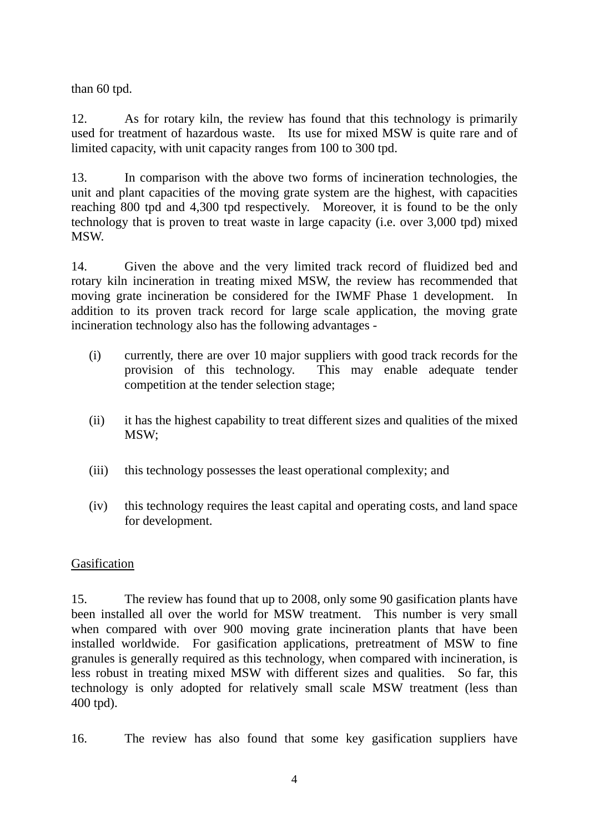than 60 tpd.

12. As for rotary kiln, the review has found that this technology is primarily used for treatment of hazardous waste. Its use for mixed MSW is quite rare and of limited capacity, with unit capacity ranges from 100 to 300 tpd.

 reaching 800 tpd and 4,300 tpd respectively. Moreover, it is found to be the only 13. In comparison with the above two forms of incineration technologies, the unit and plant capacities of the moving grate system are the highest, with capacities technology that is proven to treat waste in large capacity (i.e. over 3,000 tpd) mixed **MSW** 

14. Given the above and the very limited track record of fluidized bed and rotary kiln incineration in treating mixed MSW, the review has recommended that moving grate incineration be considered for the IWMF Phase 1 development. In addition to its proven track record for large scale application, the moving grate incineration technology also has the following advantages -

- $(i)$ currently, there are over 10 major suppliers with good track records for the provision of this technology. This may enable adequate tender competition at the tender selection stage;
- $(ii)$ it has the highest capability to treat different sizes and qualities of the mixed MSW;
- $(iii)$ this technology possesses the least operational complexity; and
- $(iv)$ this technology requires the least capital and operating costs, and land space for development.

#### Gasification

15. The review has found that up to 2008, only some 90 gasification plants have been installed all over the world for MSW treatment. This number is very small when compared with over 900 moving grate incineration plants that have been installed worldwide. For gasification applications, pretreatment of MSW to fine granules is generally required as this technology, when compared with incineration, is less robust in treating mixed MSW with different sizes and qualities. So far, this technology is only adopted for relatively small scale MSW treatment (less than 400 tpd).

16. The review has also found that some key gasification suppliers have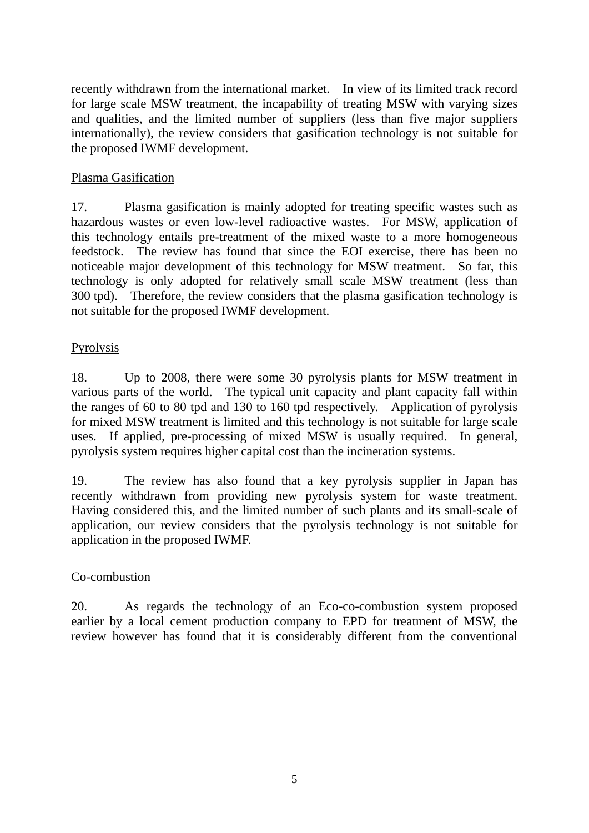recently withdrawn from the international market. In view of its limited track record for large scale MSW treatment, the incapability of treating MSW with varying sizes and qualities, and the limited number of suppliers (less than five major suppliers internationally), the review considers that gasification technology is not suitable for the proposed IWMF development.

#### Plasma Gasification

17. Plasma gasification is mainly adopted for treating specific wastes such as hazardous wastes or even low-level radioactive wastes. For MSW, application of this technology entails pre-treatment of the mixed waste to a more homogeneous feedstock. The review has found that since the EOI exercise, there has been no noticeable major development of this technology for MSW treatment. So far, this technology is only adopted for relatively small scale MSW treatment (less than 300 tpd). Therefore, the review considers that the plasma gasification technology is not suitable for the proposed IWMF development.

#### Pyrolysis

18. Up to 2008, there were some 30 pyrolysis plants for MSW treatment in various parts of the world. The typical unit capacity and plant capacity fall within the ranges of 60 to 80 tpd and 130 to 160 tpd respectively. Application of pyrolysis for mixed MSW treatment is limited and this technology is not suitable for large scale uses. If applied, pre-processing of mixed MSW is usually required. In general, pyrolysis system requires higher capital cost than the incineration systems.

19. The review has also found that a key pyrolysis supplier in Japan has recently withdrawn from providing new pyrolysis system for waste treatment. Having considered this, and the limited number of such plants and its small-scale of application, our review considers that the pyrolysis technology is not suitable for application in the proposed IWMF.

#### Co-combustion

20. As regards the technology of an Eco-co-combustion system proposed earlier by a local cement production company to EPD for treatment of MSW, the review however has found that it is considerably different from the conventional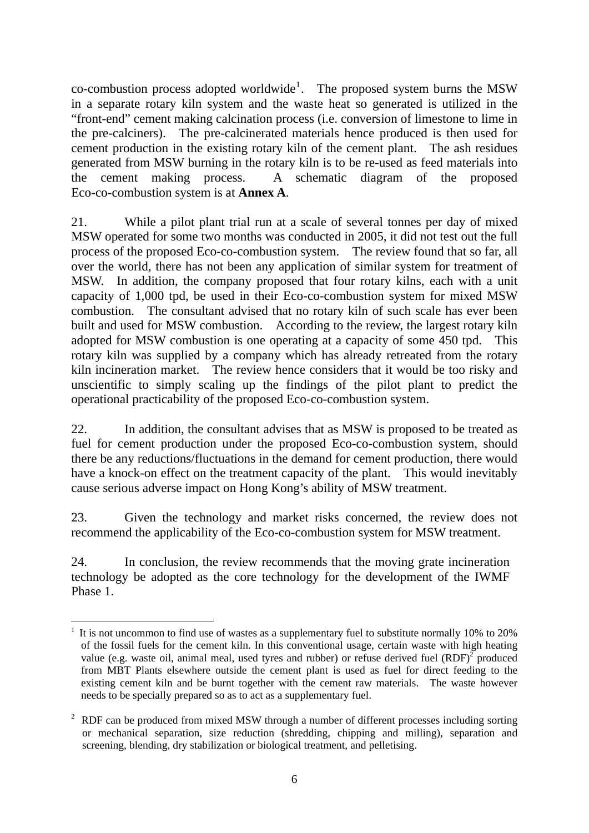co-combustion process adopted worldwide<sup>[1](#page-5-0)</sup>. The proposed system burns the MSW in a separate rotary kiln system and the waste heat so generated is utilized in the "front-end" cement making calcination process (i.e. conversion of limestone to lime in the pre-calciners). The pre-calcinerated materials hence produced is then used for cement production in the existing rotary kiln of the cement plant. The ash residues generated from MSW burning in the rotary kiln is to be re-used as feed materials into the cement making process. A schematic diagram of the proposed Eco-co-combustion system is at **Annex A**.

 MSW. In addition, the company proposed that four rotary kilns, each with a unit adopted for MSW combustion is one operating at a capacity of some 450 tpd. This 21. While a pilot plant trial run at a scale of several tonnes per day of mixed MSW operated for some two months was conducted in 2005, it did not test out the full process of the proposed Eco-co-combustion system. The review found that so far, all over the world, there has not been any application of similar system for treatment of capacity of 1,000 tpd, be used in their Eco-co-combustion system for mixed MSW combustion. The consultant advised that no rotary kiln of such scale has ever been built and used for MSW combustion. According to the review, the largest rotary kiln rotary kiln was supplied by a company which has already retreated from the rotary kiln incineration market. The review hence considers that it would be too risky and unscientific to simply scaling up the findings of the pilot plant to predict the operational practicability of the proposed Eco-co-combustion system.

22. In addition, the consultant advises that as MSW is proposed to be treated as fuel for cement production under the proposed Eco-co-combustion system, should there be any reductions/fluctuations in the demand for cement production, there would have a knock-on effect on the treatment capacity of the plant. This would inevitably cause serious adverse impact on Hong Kong's ability of MSW treatment.

23. Given the technology and market risks concerned, the review does not recommend the applicability of the Eco-co-combustion system for MSW treatment.

24. In conclusion, the review recommends that the moving grate incineration technology be adopted as the core technology for the development of the IWMF Phase 1.

<span id="page-5-0"></span><sup>&</sup>lt;u>.</u>  $1$  It is not uncommon to find use of wastes as a supplementary fuel to substitute normally 10% to 20% of the fossil fuels for the cement kiln. In this conventional usage, certain waste with high heating value (e.g. waste oil, animal meal, used tyres and rubber) or refuse derived fuel  $(RDF)^2$  produced from MBT Plants elsewhere outside the cement plant is used as fuel for direct feeding to the existing cement kiln and be burnt together with the cement raw materials. The waste however needs to be specially prepared so as to act as a supplementary fuel.

 $2$  RDF can be produced from mixed MSW through a number of different processes including sorting or mechanical separation, size reduction (shredding, chipping and milling), separation and screening, blending, dry stabilization or biological treatment, and pelletising.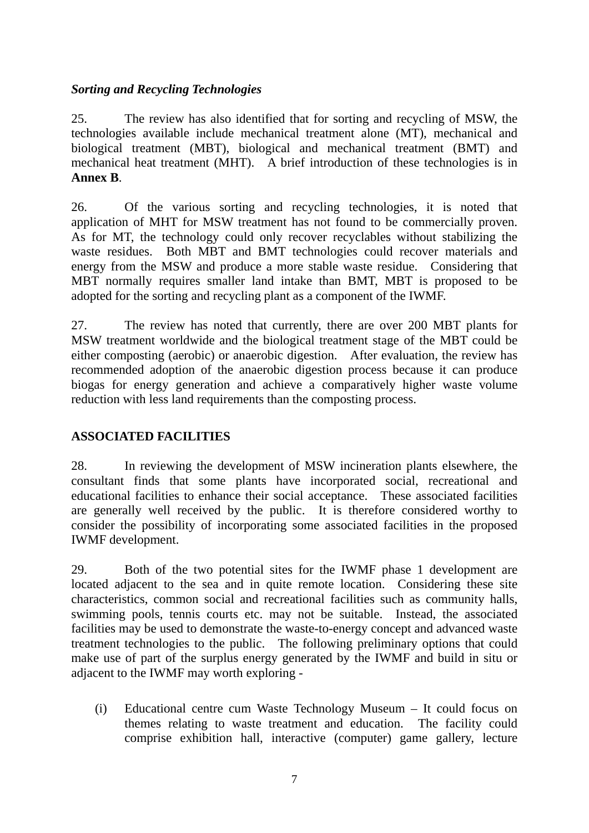### *Sorting and Recycling Technologies*

25. The review has also identified that for sorting and recycling of MSW, the technologies available include mechanical treatment alone (MT), mechanical and biological treatment (MBT), biological and mechanical treatment (BMT) and mechanical heat treatment (MHT). A brief introduction of these technologies is in **Annex B**.

26. Of the various sorting and recycling technologies, it is noted that application of MHT for MSW treatment has not found to be commercially proven. As for MT, the technology could only recover recyclables without stabilizing the waste residues. Both MBT and BMT technologies could recover materials and energy from the MSW and produce a more stable waste residue. Considering that MBT normally requires smaller land intake than BMT, MBT is proposed to be adopted for the sorting and recycling plant as a component of the IWMF.

27. The review has noted that currently, there are over 200 MBT plants for MSW treatment worldwide and the biological treatment stage of the MBT could be either composting (aerobic) or anaerobic digestion. After evaluation, the review has recommended adoption of the anaerobic digestion process because it can produce biogas for energy generation and achieve a comparatively higher waste volume reduction with less land requirements than the composting process.

#### **ASSOCIATED FACILITIES**

28. In reviewing the development of MSW incineration plants elsewhere, the consultant finds that some plants have incorporated social, recreational and educational facilities to enhance their social acceptance. These associated facilities are generally well received by the public. It is therefore considered worthy to consider the possibility of incorporating some associated facilities in the proposed IWMF development.

29. Both of the two potential sites for the IWMF phase 1 development are located adjacent to the sea and in quite remote location. Considering these site characteristics, common social and recreational facilities such as community halls, swimming pools, tennis courts etc. may not be suitable. Instead, the associated facilities may be used to demonstrate the waste-to-energy concept and advanced waste treatment technologies to the public. The following preliminary options that could make use of part of the surplus energy generated by the IWMF and build in situ or adjacent to the IWMF may worth exploring -

 $(i)$ Educational centre cum Waste Technology Museum – It could focus on themes relating to waste treatment and education. The facility could comprise exhibition hall, interactive (computer) game gallery, lecture